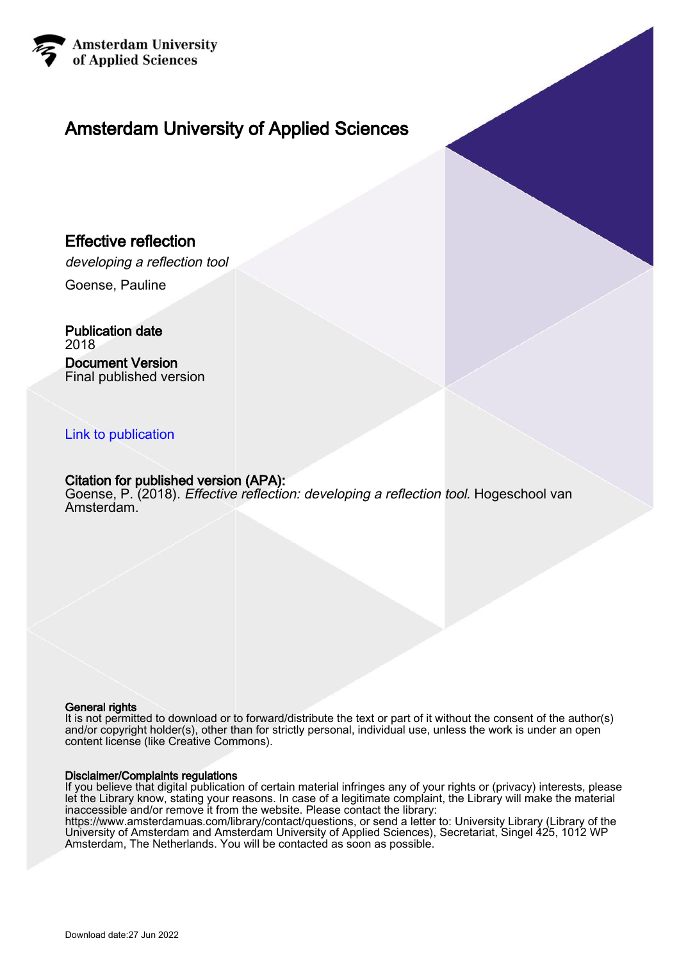

# Amsterdam University of Applied Sciences

#### Effective reflection

developing a reflection tool

Goense, Pauline

Publication date 2018 Document Version Final published version

#### [Link to publication](https://research.hva.nl/en/publications/17172a59-0249-4410-92e1-990c043304d8)

#### Citation for published version (APA):

Goense, P. (2018). Effective reflection: developing a reflection tool. Hogeschool van Amsterdam.

#### General rights

It is not permitted to download or to forward/distribute the text or part of it without the consent of the author(s) and/or copyright holder(s), other than for strictly personal, individual use, unless the work is under an open content license (like Creative Commons).

#### Disclaimer/Complaints regulations

If you believe that digital publication of certain material infringes any of your rights or (privacy) interests, please let the Library know, stating your reasons. In case of a legitimate complaint, the Library will make the material inaccessible and/or remove it from the website. Please contact the library:

https://www.amsterdamuas.com/library/contact/questions, or send a letter to: University Library (Library of the University of Amsterdam and Amsterdam University of Applied Sciences), Secretariat, Singel 425, 1012 WP Amsterdam, The Netherlands. You will be contacted as soon as possible.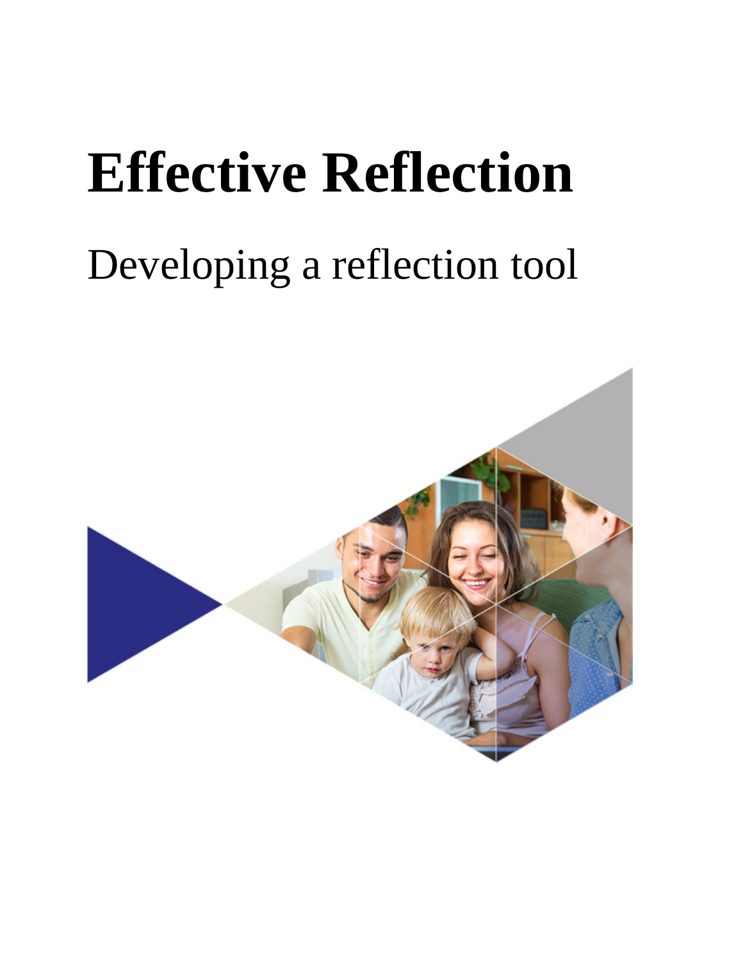# **Effective Reflection**

# Developing a reflection tool

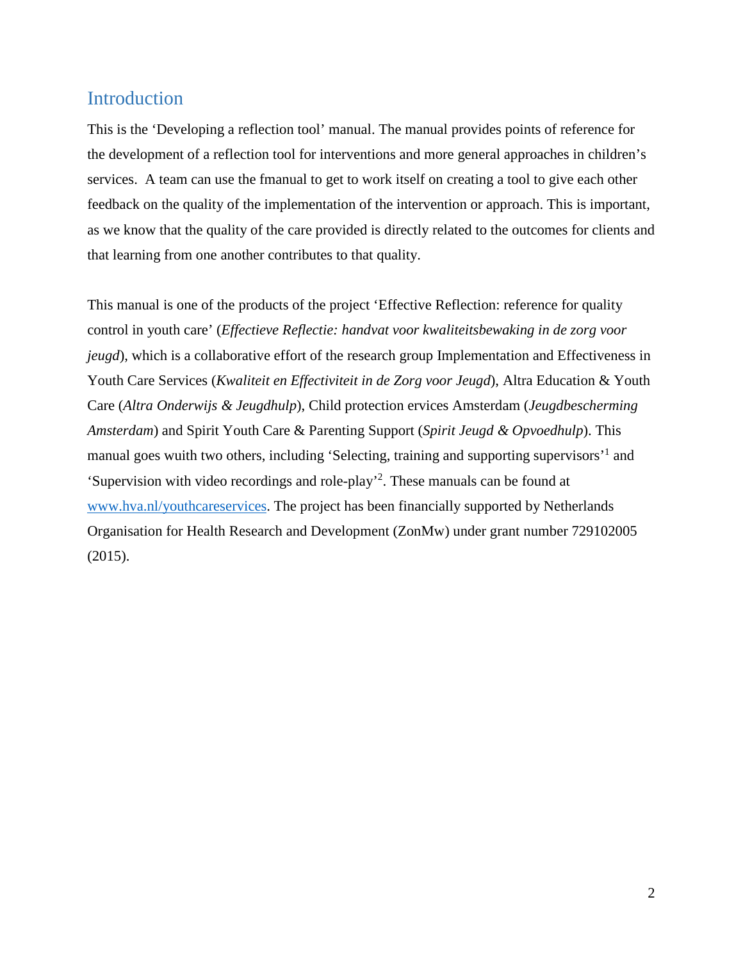# <span id="page-2-0"></span>Introduction

This is the 'Developing a reflection tool' manual. The manual provides points of reference for the development of a reflection tool for interventions and more general approaches in children's services. A team can use the fmanual to get to work itself on creating a tool to give each other feedback on the quality of the implementation of the intervention or approach. This is important, as we know that the quality of the care provided is directly related to the outcomes for clients and that learning from one another contributes to that quality.

This manual is one of the products of the project 'Effective Reflection: reference for quality control in youth care' (*Effectieve Reflectie: handvat voor kwaliteitsbewaking in de zorg voor jeugd*), which is a collaborative effort of the research group Implementation and Effectiveness in Youth Care Services (*Kwaliteit en Effectiviteit in de Zorg voor Jeugd*), Altra Education & Youth Care (*Altra Onderwijs & Jeugdhulp*), Child protection ervices Amsterdam (*Jeugdbescherming Amsterdam*) and Spirit Youth Care & Parenting Support (*Spirit Jeugd & Opvoedhulp*). This manual goes wuith two others, including 'Selecting, training and supporting supervisors'<sup>1</sup> and 'Supervision with video recordings and role-play'2 . These manuals can be found at [www.hva.nl/youthcareservices.](http://www.hva.nl/youthcareservices) The project has been financially supported by Netherlands Organisation for Health Research and Development (ZonMw) under grant number 729102005 (2015).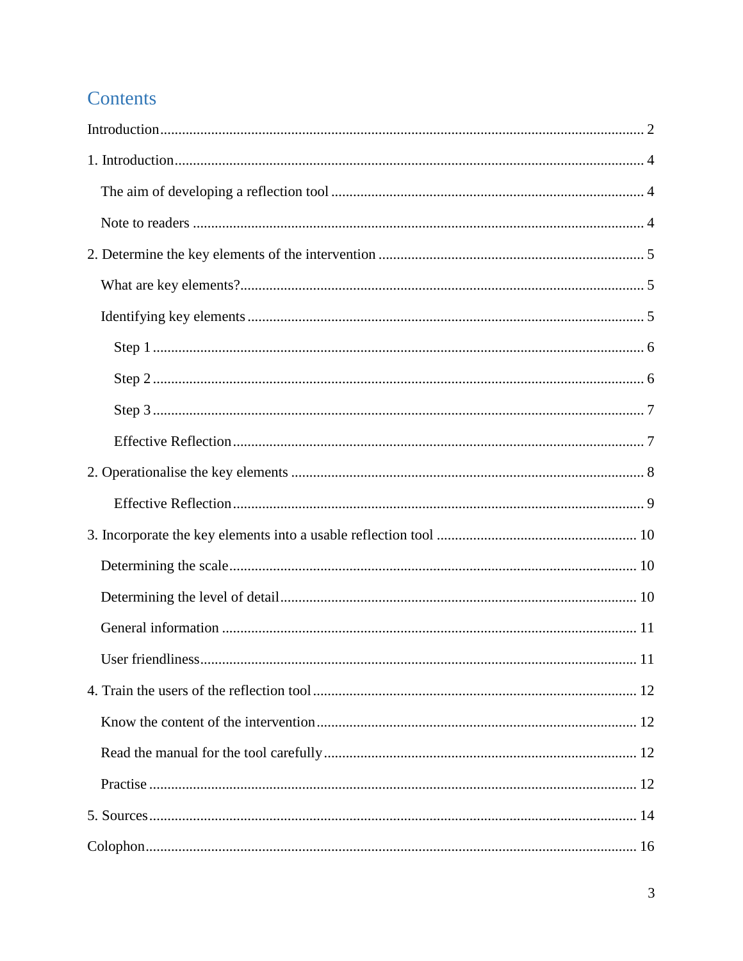# Contents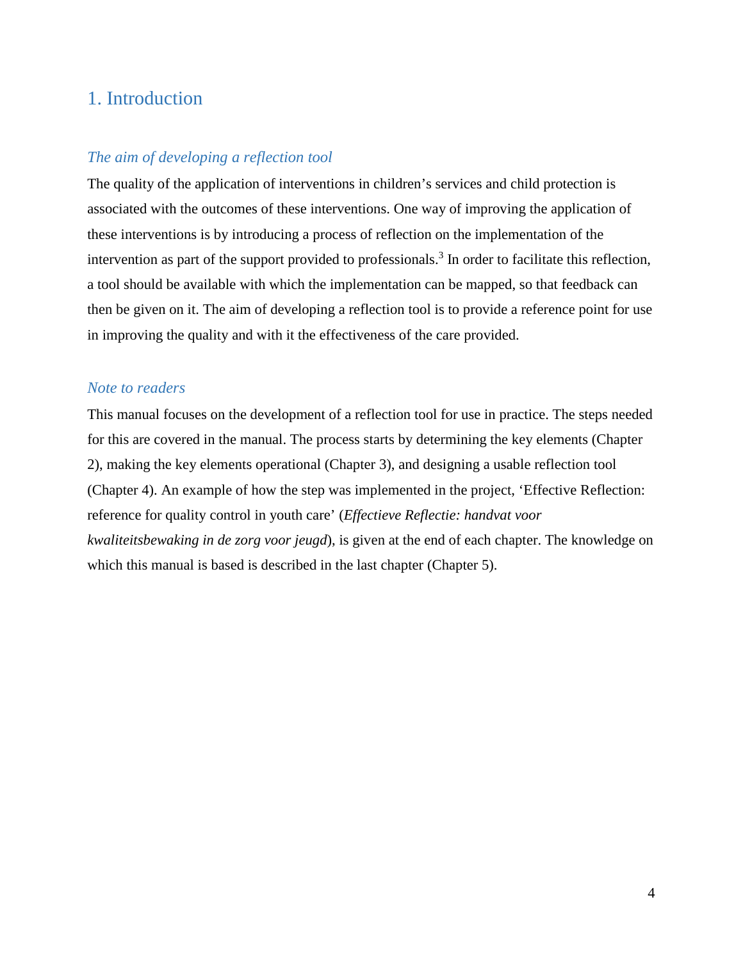# <span id="page-4-0"></span>1. Introduction

#### <span id="page-4-1"></span>*The aim of developing a reflection tool*

The quality of the application of interventions in children's services and child protection is associated with the outcomes of these interventions. One way of improving the application of these interventions is by introducing a process of reflection on the implementation of the intervention as part of the support provided to professionals.<sup>3</sup> In order to facilitate this reflection, a tool should be available with which the implementation can be mapped, so that feedback can then be given on it. The aim of developing a reflection tool is to provide a reference point for use in improving the quality and with it the effectiveness of the care provided.

#### <span id="page-4-2"></span>*Note to readers*

<span id="page-4-3"></span>This manual focuses on the development of a reflection tool for use in practice. The steps needed for this are covered in the manual. The process starts by determining the key elements (Chapter 2), making the key elements operational (Chapter 3), and designing a usable reflection tool (Chapter 4). An example of how the step was implemented in the project, 'Effective Reflection: reference for quality control in youth care' (*Effectieve Reflectie: handvat voor kwaliteitsbewaking in de zorg voor jeugd*), is given at the end of each chapter. The knowledge on which this manual is based is described in the last chapter (Chapter 5).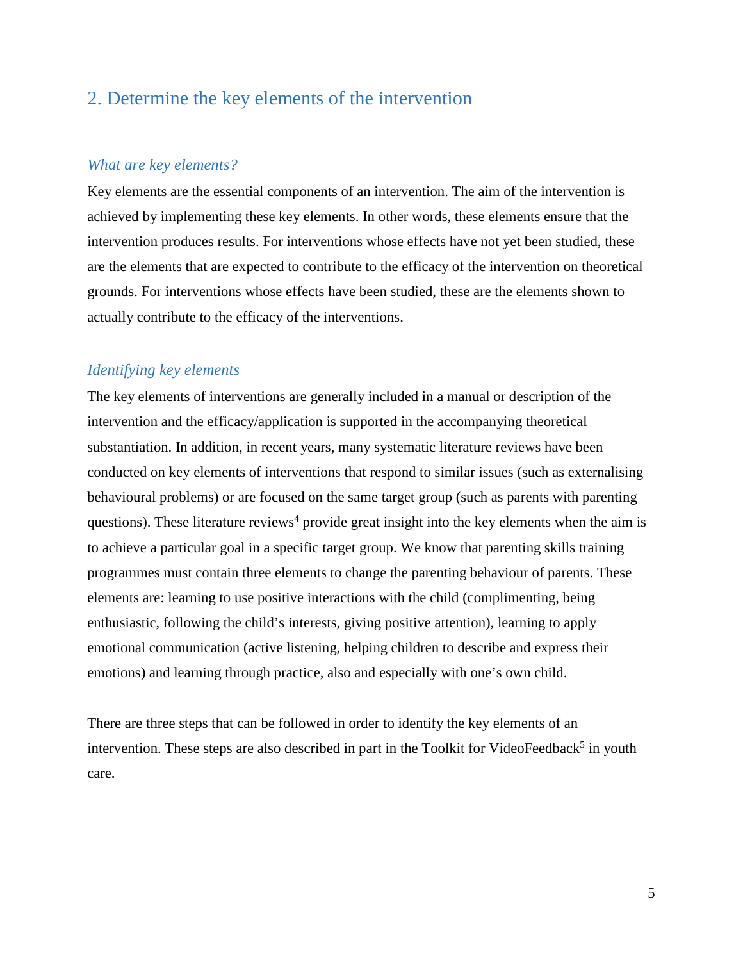# <span id="page-5-0"></span>2. Determine the key elements of the intervention

#### <span id="page-5-1"></span>*What are key elements?*

Key elements are the essential components of an intervention. The aim of the intervention is achieved by implementing these key elements. In other words, these elements ensure that the intervention produces results. For interventions whose effects have not yet been studied, these are the elements that are expected to contribute to the efficacy of the intervention on theoretical grounds. For interventions whose effects have been studied, these are the elements shown to actually contribute to the efficacy of the interventions.

#### <span id="page-5-2"></span>*Identifying key elements*

The key elements of interventions are generally included in a manual or description of the intervention and the efficacy/application is supported in the accompanying theoretical substantiation. In addition, in recent years, many systematic literature reviews have been conducted on key elements of interventions that respond to similar issues (such as externalising behavioural problems) or are focused on the same target group (such as parents with parenting questions). These literature reviews<sup>4</sup> provide great insight into the key elements when the aim is to achieve a particular goal in a specific target group. We know that parenting skills training programmes must contain three elements to change the parenting behaviour of parents. These elements are: learning to use positive interactions with the child (complimenting, being enthusiastic, following the child's interests, giving positive attention), learning to apply emotional communication (active listening, helping children to describe and express their emotions) and learning through practice, also and especially with one's own child.

There are three steps that can be followed in order to identify the key elements of an intervention. These steps are also described in part in the Toolkit for VideoFeedback<sup>5</sup> in youth care.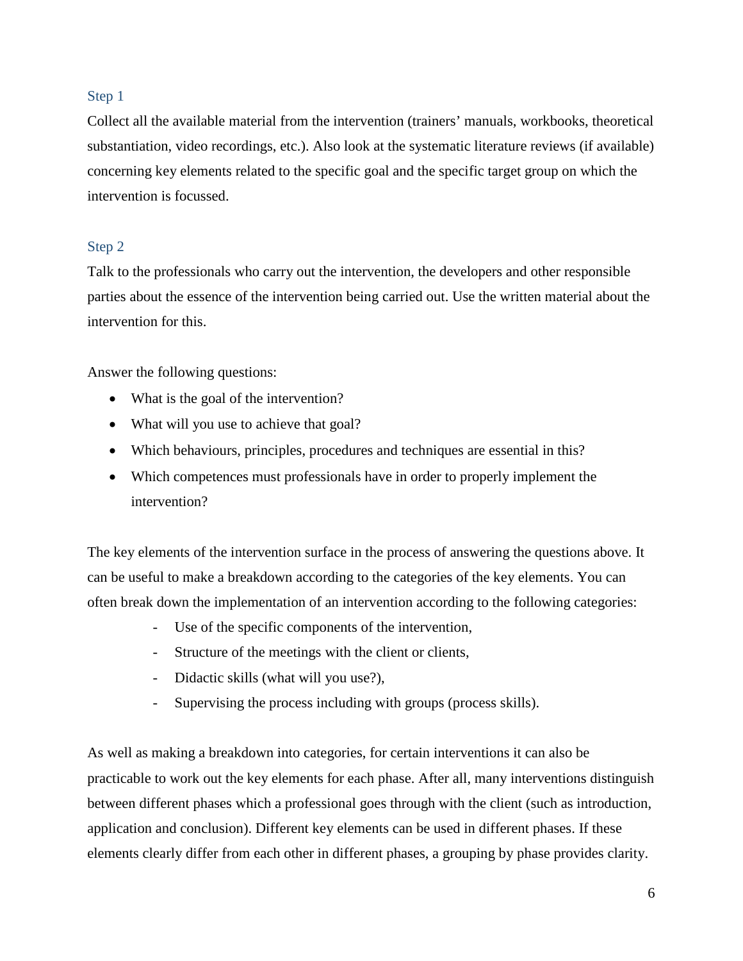#### <span id="page-6-0"></span>Step 1

Collect all the available material from the intervention (trainers' manuals, workbooks, theoretical substantiation, video recordings, etc.). Also look at the systematic literature reviews (if available) concerning key elements related to the specific goal and the specific target group on which the intervention is focussed.

#### <span id="page-6-1"></span>Step 2

Talk to the professionals who carry out the intervention, the developers and other responsible parties about the essence of the intervention being carried out. Use the written material about the intervention for this.

Answer the following questions:

- What is the goal of the intervention?
- What will you use to achieve that goal?
- Which behaviours, principles, procedures and techniques are essential in this?
- Which competences must professionals have in order to properly implement the intervention?

The key elements of the intervention surface in the process of answering the questions above. It can be useful to make a breakdown according to the categories of the key elements. You can often break down the implementation of an intervention according to the following categories:

- Use of the specific components of the intervention,
- Structure of the meetings with the client or clients,
- Didactic skills (what will you use?),
- Supervising the process including with groups (process skills).

As well as making a breakdown into categories, for certain interventions it can also be practicable to work out the key elements for each phase. After all, many interventions distinguish between different phases which a professional goes through with the client (such as introduction, application and conclusion). Different key elements can be used in different phases. If these elements clearly differ from each other in different phases, a grouping by phase provides clarity.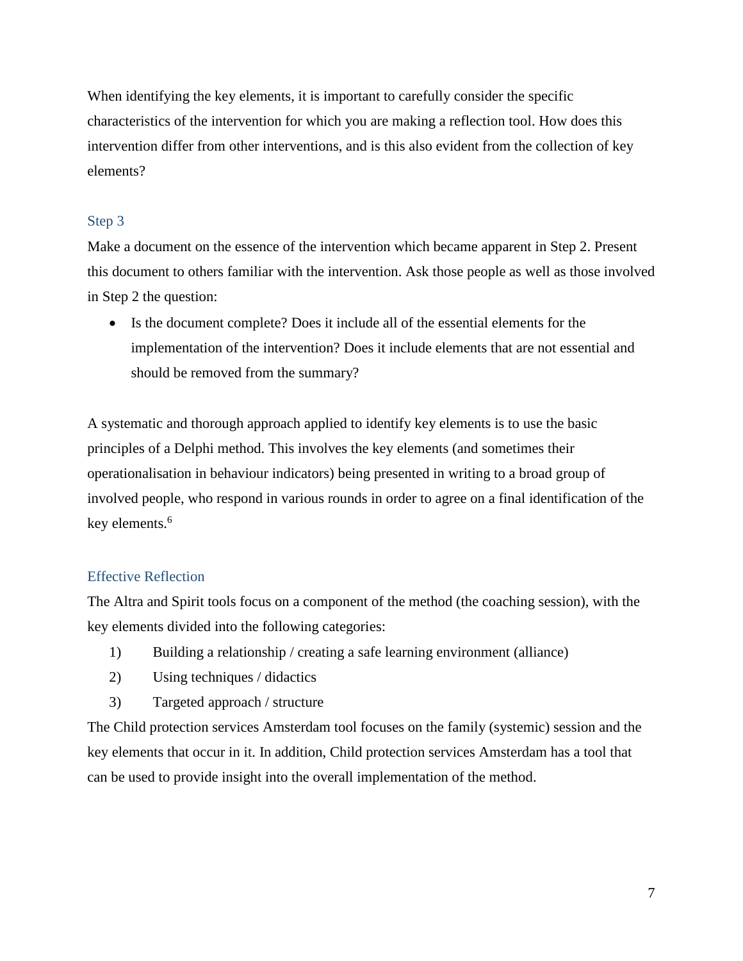When identifying the key elements, it is important to carefully consider the specific characteristics of the intervention for which you are making a reflection tool. How does this intervention differ from other interventions, and is this also evident from the collection of key elements?

#### <span id="page-7-0"></span>Step 3

Make a document on the essence of the intervention which became apparent in Step 2. Present this document to others familiar with the intervention. Ask those people as well as those involved in Step 2 the question:

• Is the document complete? Does it include all of the essential elements for the implementation of the intervention? Does it include elements that are not essential and should be removed from the summary?

A systematic and thorough approach applied to identify key elements is to use the basic principles of a Delphi method. This involves the key elements (and sometimes their operationalisation in behaviour indicators) being presented in writing to a broad group of involved people, who respond in various rounds in order to agree on a final identification of the key elements.<sup>6</sup>

#### <span id="page-7-1"></span>Effective Reflection

The Altra and Spirit tools focus on a component of the method (the coaching session), with the key elements divided into the following categories:

- 1) Building a relationship / creating a safe learning environment (alliance)
- 2) Using techniques / didactics
- 3) Targeted approach / structure

The Child protection services Amsterdam tool focuses on the family (systemic) session and the key elements that occur in it. In addition, Child protection services Amsterdam has a tool that can be used to provide insight into the overall implementation of the method.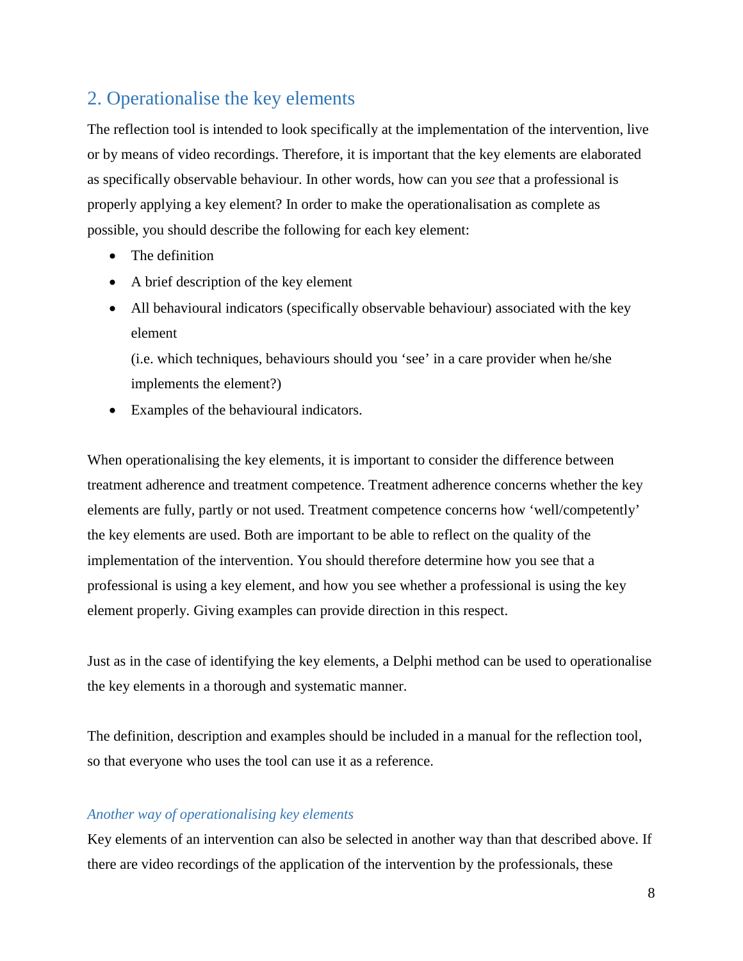# <span id="page-8-0"></span>2. Operationalise the key elements

The reflection tool is intended to look specifically at the implementation of the intervention, live or by means of video recordings. Therefore, it is important that the key elements are elaborated as specifically observable behaviour. In other words, how can you *see* that a professional is properly applying a key element? In order to make the operationalisation as complete as possible, you should describe the following for each key element:

- The definition
- A brief description of the key element
- All behavioural indicators (specifically observable behaviour) associated with the key element

(i.e. which techniques, behaviours should you 'see' in a care provider when he/she implements the element?)

• Examples of the behavioural indicators.

When operationalising the key elements, it is important to consider the difference between treatment adherence and treatment competence. Treatment adherence concerns whether the key elements are fully, partly or not used. Treatment competence concerns how 'well/competently' the key elements are used. Both are important to be able to reflect on the quality of the implementation of the intervention. You should therefore determine how you see that a professional is using a key element, and how you see whether a professional is using the key element properly. Giving examples can provide direction in this respect.

Just as in the case of identifying the key elements, a Delphi method can be used to operationalise the key elements in a thorough and systematic manner.

The definition, description and examples should be included in a manual for the reflection tool, so that everyone who uses the tool can use it as a reference.

#### *Another way of operationalising key elements*

Key elements of an intervention can also be selected in another way than that described above. If there are video recordings of the application of the intervention by the professionals, these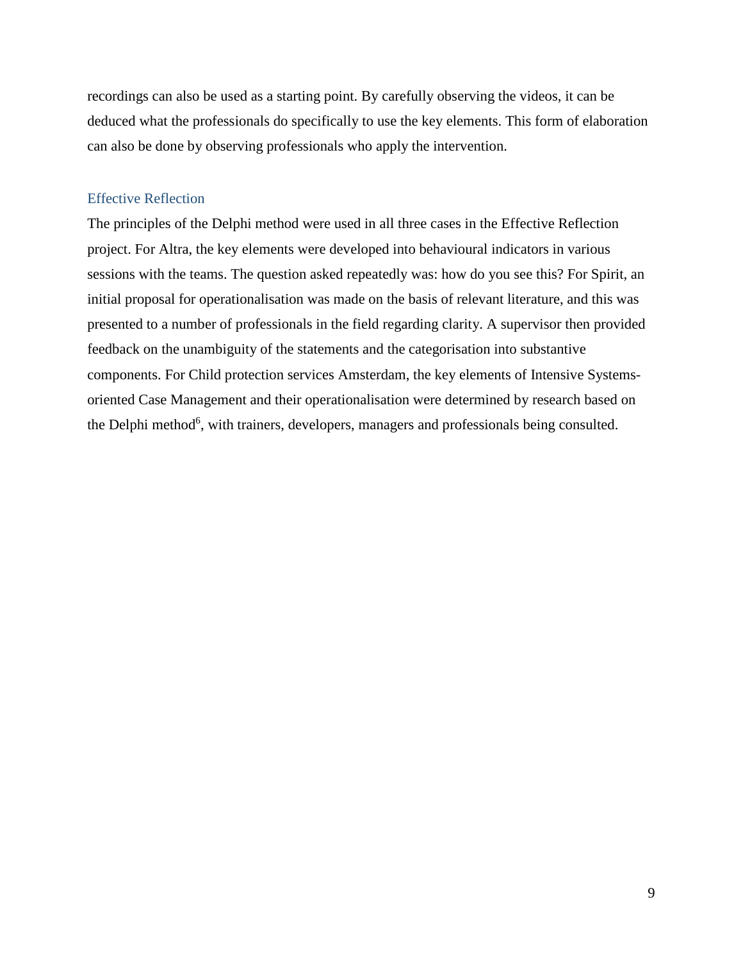recordings can also be used as a starting point. By carefully observing the videos, it can be deduced what the professionals do specifically to use the key elements. This form of elaboration can also be done by observing professionals who apply the intervention.

#### <span id="page-9-0"></span>Effective Reflection

The principles of the Delphi method were used in all three cases in the Effective Reflection project. For Altra, the key elements were developed into behavioural indicators in various sessions with the teams. The question asked repeatedly was: how do you see this? For Spirit, an initial proposal for operationalisation was made on the basis of relevant literature, and this was presented to a number of professionals in the field regarding clarity. A supervisor then provided feedback on the unambiguity of the statements and the categorisation into substantive components. For Child protection services Amsterdam, the key elements of Intensive Systemsoriented Case Management and their operationalisation were determined by research based on the Delphi method<sup>6</sup>, with trainers, developers, managers and professionals being consulted.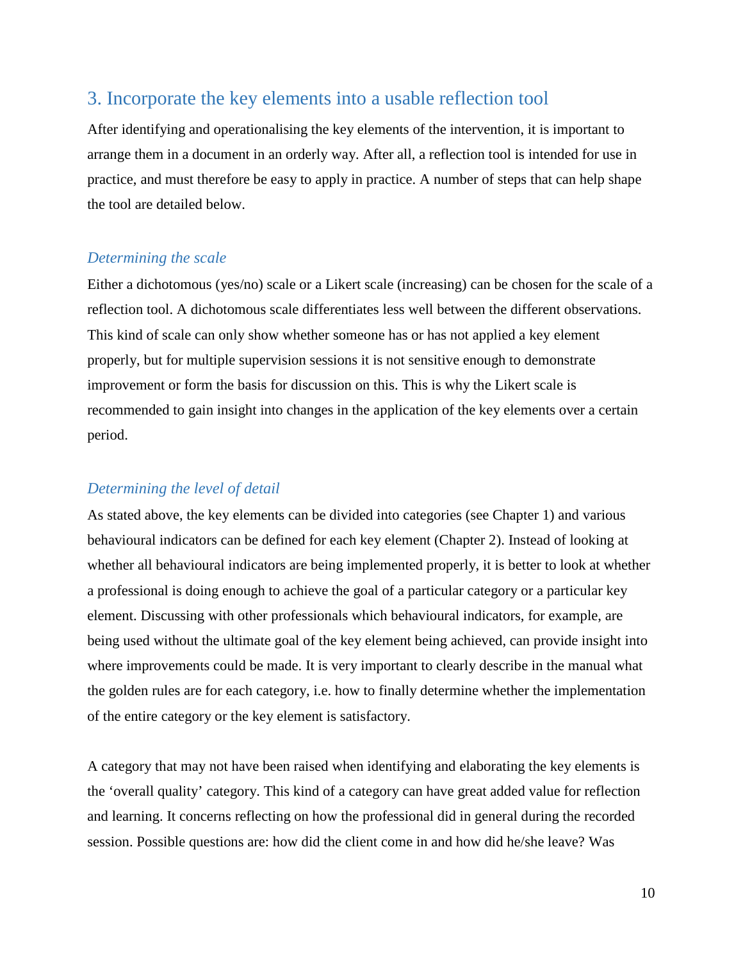# <span id="page-10-0"></span>3. Incorporate the key elements into a usable reflection tool

After identifying and operationalising the key elements of the intervention, it is important to arrange them in a document in an orderly way. After all, a reflection tool is intended for use in practice, and must therefore be easy to apply in practice. A number of steps that can help shape the tool are detailed below.

#### <span id="page-10-1"></span>*Determining the scale*

Either a dichotomous (yes/no) scale or a Likert scale (increasing) can be chosen for the scale of a reflection tool. A dichotomous scale differentiates less well between the different observations. This kind of scale can only show whether someone has or has not applied a key element properly, but for multiple supervision sessions it is not sensitive enough to demonstrate improvement or form the basis for discussion on this. This is why the Likert scale is recommended to gain insight into changes in the application of the key elements over a certain period.

#### <span id="page-10-2"></span>*Determining the level of detail*

As stated above, the key elements can be divided into categories (see Chapter 1) and various behavioural indicators can be defined for each key element (Chapter 2). Instead of looking at whether all behavioural indicators are being implemented properly, it is better to look at whether a professional is doing enough to achieve the goal of a particular category or a particular key element. Discussing with other professionals which behavioural indicators, for example, are being used without the ultimate goal of the key element being achieved, can provide insight into where improvements could be made. It is very important to clearly describe in the manual what the golden rules are for each category, i.e. how to finally determine whether the implementation of the entire category or the key element is satisfactory.

A category that may not have been raised when identifying and elaborating the key elements is the 'overall quality' category. This kind of a category can have great added value for reflection and learning. It concerns reflecting on how the professional did in general during the recorded session. Possible questions are: how did the client come in and how did he/she leave? Was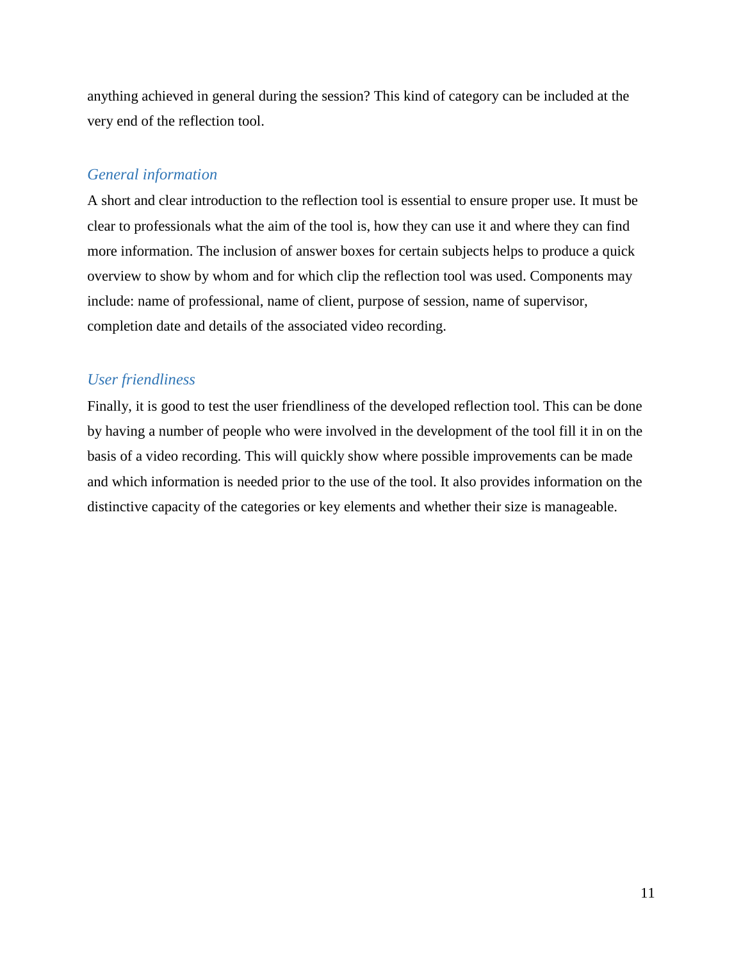anything achieved in general during the session? This kind of category can be included at the very end of the reflection tool.

#### <span id="page-11-0"></span>*General information*

A short and clear introduction to the reflection tool is essential to ensure proper use. It must be clear to professionals what the aim of the tool is, how they can use it and where they can find more information. The inclusion of answer boxes for certain subjects helps to produce a quick overview to show by whom and for which clip the reflection tool was used. Components may include: name of professional, name of client, purpose of session, name of supervisor, completion date and details of the associated video recording.

#### <span id="page-11-1"></span>*User friendliness*

Finally, it is good to test the user friendliness of the developed reflection tool. This can be done by having a number of people who were involved in the development of the tool fill it in on the basis of a video recording. This will quickly show where possible improvements can be made and which information is needed prior to the use of the tool. It also provides information on the distinctive capacity of the categories or key elements and whether their size is manageable.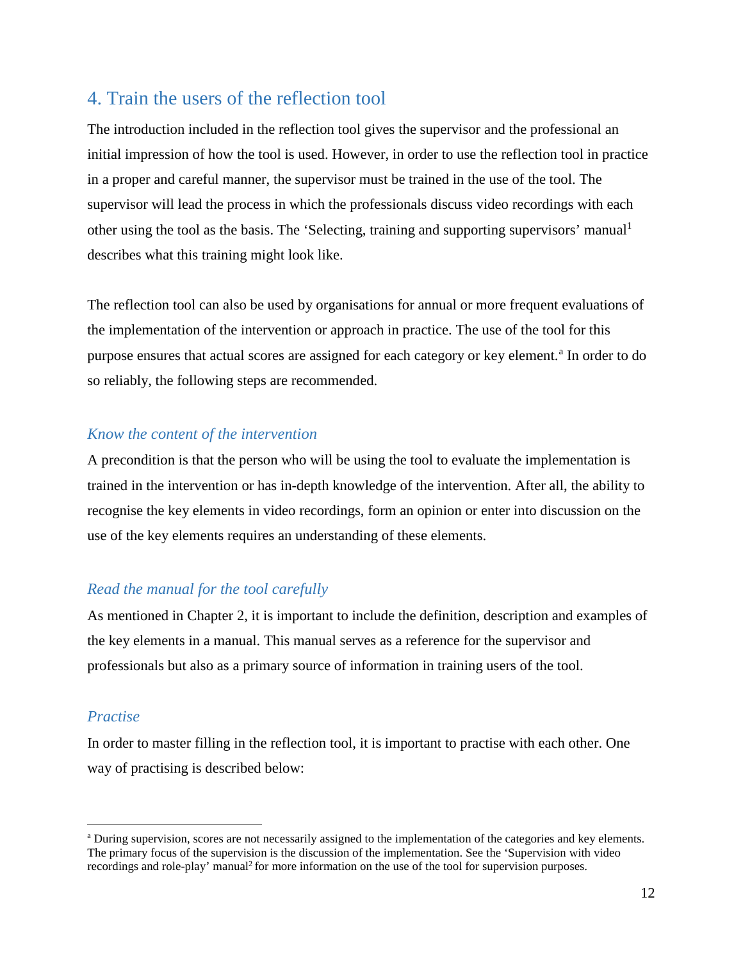# <span id="page-12-0"></span>4. Train the users of the reflection tool

The introduction included in the reflection tool gives the supervisor and the professional an initial impression of how the tool is used. However, in order to use the reflection tool in practice in a proper and careful manner, the supervisor must be trained in the use of the tool. The supervisor will lead the process in which the professionals discuss video recordings with each other using the tool as the basis. The 'Selecting, training and supporting supervisors' manual<sup>1</sup> describes what this training might look like.

The reflection tool can also be used by organisations for annual or more frequent evaluations of the implementation of the intervention or approach in practice. The use of the tool for this purpose ensures th[a](#page-4-3)t actual scores are assigned for each category or key element.<sup>a</sup> In order to do so reliably, the following steps are recommended.

#### <span id="page-12-1"></span>*Know the content of the intervention*

A precondition is that the person who will be using the tool to evaluate the implementation is trained in the intervention or has in-depth knowledge of the intervention. After all, the ability to recognise the key elements in video recordings, form an opinion or enter into discussion on the use of the key elements requires an understanding of these elements.

#### <span id="page-12-2"></span>*Read the manual for the tool carefully*

As mentioned in Chapter 2, it is important to include the definition, description and examples of the key elements in a manual. This manual serves as a reference for the supervisor and professionals but also as a primary source of information in training users of the tool.

#### <span id="page-12-3"></span>*Practise*

In order to master filling in the reflection tool, it is important to practise with each other. One way of practising is described below:

a During supervision, scores are not necessarily assigned to the implementation of the categories and key elements. The primary focus of the supervision is the discussion of the implementation. See the 'Supervision with video recordings and role-play' manual<sup>2</sup> for more information on the use of the tool for supervision purposes.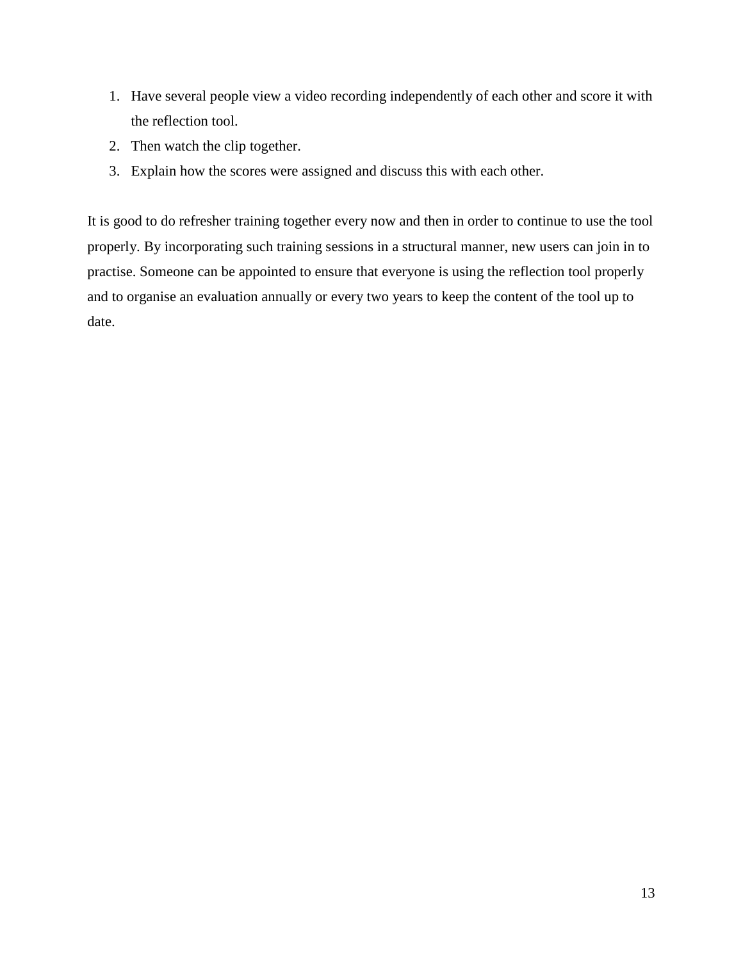- 1. Have several people view a video recording independently of each other and score it with the reflection tool.
- 2. Then watch the clip together.
- 3. Explain how the scores were assigned and discuss this with each other.

It is good to do refresher training together every now and then in order to continue to use the tool properly. By incorporating such training sessions in a structural manner, new users can join in to practise. Someone can be appointed to ensure that everyone is using the reflection tool properly and to organise an evaluation annually or every two years to keep the content of the tool up to date.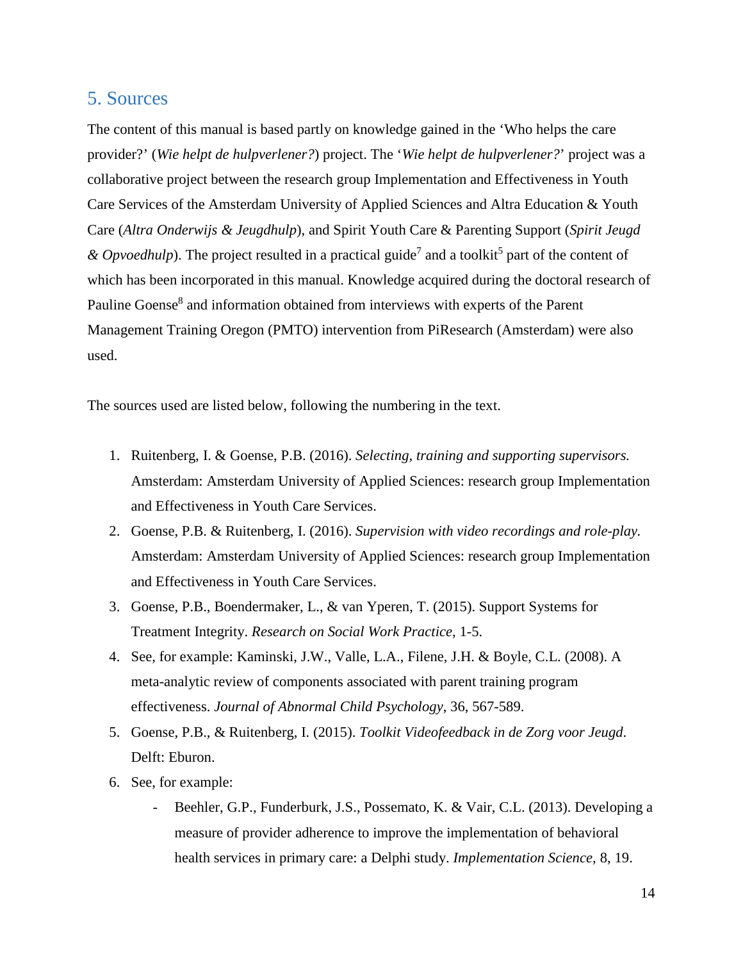#### <span id="page-14-0"></span>5. Sources

The content of this manual is based partly on knowledge gained in the 'Who helps the care provider?' (*Wie helpt de hulpverlener?*) project. The '*Wie helpt de hulpverlener?*' project was a collaborative project between the research group Implementation and Effectiveness in Youth Care Services of the Amsterdam University of Applied Sciences and Altra Education & Youth Care (*Altra Onderwijs & Jeugdhulp*), and Spirit Youth Care & Parenting Support (*Spirit Jeugd*   $\&$  *Opvoedhulp*). The project resulted in a practical guide<sup>7</sup> and a toolkit<sup>5</sup> part of the content of which has been incorporated in this manual. Knowledge acquired during the doctoral research of Pauline Goense<sup>8</sup> and information obtained from interviews with experts of the Parent Management Training Oregon (PMTO) intervention from PiResearch (Amsterdam) were also used.

The sources used are listed below, following the numbering in the text.

- 1. Ruitenberg, I. & Goense, P.B. (2016). *Selecting, training and supporting supervisors.* Amsterdam: Amsterdam University of Applied Sciences: research group Implementation and Effectiveness in Youth Care Services.
- 2. Goense, P.B. & Ruitenberg, I. (2016). *Supervision with video recordings and role-play.* Amsterdam: Amsterdam University of Applied Sciences: research group Implementation and Effectiveness in Youth Care Services.
- 3. Goense, P.B., Boendermaker, L., & van Yperen, T. (2015). Support Systems for Treatment Integrity. *Research on Social Work Practice*, 1-5.
- 4. See, for example: Kaminski, J.W., Valle, L.A., Filene, J.H. & Boyle, C.L. (2008). A meta-analytic review of components associated with parent training program effectiveness. *Journal of Abnormal Child Psychology*, 36, 567-589.
- 5. Goense, P.B., & Ruitenberg, I. (2015). *Toolkit Videofeedback in de Zorg voor Jeugd*. Delft: Eburon.
- 6. See, for example:
	- Beehler, G.P., Funderburk, J.S., Possemato, K. & Vair, C.L. (2013). Developing a measure of provider adherence to improve the implementation of behavioral health services in primary care: a Delphi study. *Implementation Science,* 8, 19.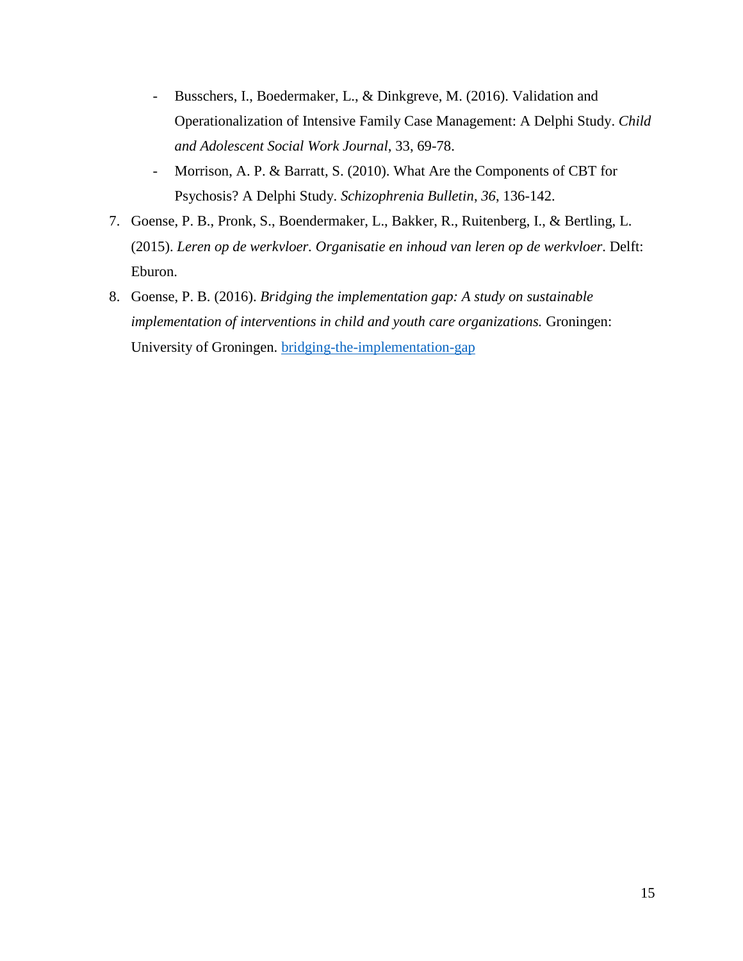- Busschers, I., Boedermaker, L., & Dinkgreve, M. (2016). Validation and Operationalization of Intensive Family Case Management: A Delphi Study. *Child and Adolescent Social Work Journal*, 33, 69-78.
- Morrison, A. P. & Barratt, S. (2010). What Are the Components of CBT for Psychosis? A Delphi Study. *Schizophrenia Bulletin*, *36*, 136-142.
- 7. Goense, P. B., Pronk, S., Boendermaker, L., Bakker, R., Ruitenberg, I., & Bertling, L. (2015). *Leren op de werkvloer. Organisatie en inhoud van leren op de werkvloer*. Delft: Eburon.
- 8. Goense, P. B. (2016). *Bridging the implementation gap: A study on sustainable implementation of interventions in child and youth care organizations.* Groningen: University of Groningen. [bridging-the-implementation-gap](http://www.hva.nl/akmi/subsites/en/kc-mr/publications/publications-general/2016/bridging-the-implementation-gap-kopie.html?origin=D98MxPHlS%2Be8MYhDpaWYgg%2CHrblUOnBSzi4sjvJ1aur5g)